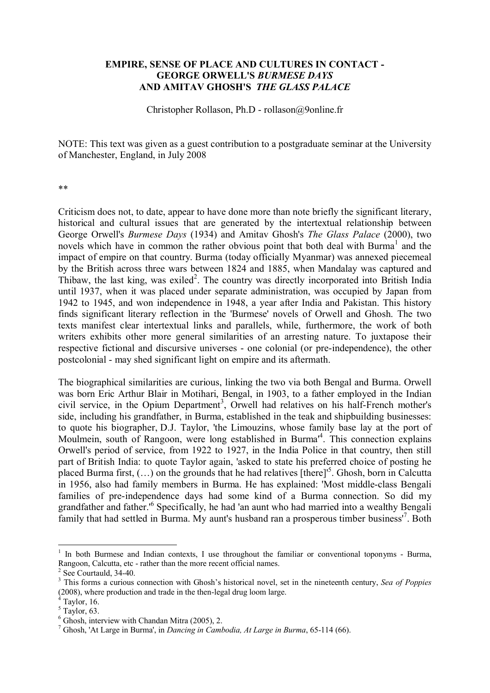## **EMPIRE, SENSE OF PLACE AND CULTURES IN CONTACT - GEORGE ORWELL'S** *BURMESE DAYS* **AND AMITAV GHOSH'S** *THE GLASS PALACE*

Christopher Rollason, Ph.D - rollason@9online.fr

NOTE: This text was given as a guest contribution to a postgraduate seminar at the University of Manchester, England, in July 2008

\*\*

Criticism does not, to date, appear to have done more than note briefly the significant literary, historical and cultural issues that are generated by the intertextual relationship between George Orwell's *Burmese Days* (1934) and Amitav Ghosh's *The Glass Palace* (2000), two novels which have in common the rather obvious point that both deal with Burma<sup>1</sup> and the impact of empire on that country. Burma (today officially Myanmar) was annexed piecemeal by the British across three wars between 1824 and 1885, when Mandalay was captured and Thibaw, the last king, was exiled<sup>2</sup>. The country was directly incorporated into British India until 1937, when it was placed under separate administration, was occupied by Japan from 1942 to 1945, and won independence in 1948, a year after India and Pakistan. This history finds significant literary reflection in the 'Burmese' novels of Orwell and Ghosh. The two texts manifest clear intertextual links and parallels, while, furthermore, the work of both writers exhibits other more general similarities of an arresting nature. To juxtapose their respective fictional and discursive universes - one colonial (or pre-independence), the other postcolonial - may shed significant light on empire and its aftermath.

The biographical similarities are curious, linking the two via both Bengal and Burma. Orwell was born Eric Arthur Blair in Motihari, Bengal, in 1903, to a father employed in the Indian civil service, in the Opium Department<sup>3</sup>, Orwell had relatives on his half-French mother's side, including his grandfather, in Burma, established in the teak and shipbuilding businesses: to quote his biographer, D.J. Taylor, 'the Limouzins, whose family base lay at the port of Moulmein, south of Rangoon, were long established in Burma<sup>14</sup>. This connection explains Orwell's period of service, from 1922 to 1927, in the India Police in that country, then still part of British India: to quote Taylor again, 'asked to state his preferred choice of posting he placed Burma first,  $(\dots)$  on the grounds that he had relatives [there]<sup>5</sup>. Ghosh, born in Calcutta in 1956, also had family members in Burma. He has explained: 'Most middle-class Bengali families of pre-independence days had some kind of a Burma connection. So did my grandfather and father.<sup>16</sup> Specifically, he had 'an aunt who had married into a wealthy Bengali family that had settled in Burma. My aunt's husband ran a prosperous timber business<sup>17</sup>. Both

<sup>1</sup> In both Burmese and Indian contexts, I use throughout the familiar or conventional toponyms - Burma, Rangoon, Calcutta, etc - rather than the more recent official names.

<sup>&</sup>lt;sup>2</sup> See Courtauld, 34-40.

<sup>3</sup> This forms a curious connection with Ghosh's historical novel, set in the nineteenth century, *Sea of Poppies*  (2008), where production and trade in the then-legal drug loom large.

Taylor, 16.

 $<sup>5</sup>$  Taylor, 63.</sup>

<sup>6</sup> Ghosh, interview with Chandan Mitra (2005), 2.

<sup>7</sup> Ghosh, 'At Large in Burma', in *Dancing in Cambodia, At Large in Burma*, 65-114 (66).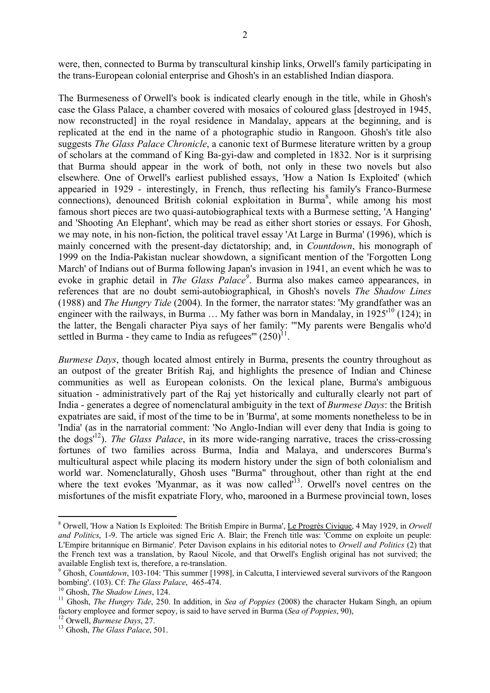were, then, connected to Burma by transcultural kinship links, Orwell's family participating in the trans-European colonial enterprise and Ghosh's in an established Indian diaspora.

The Burmeseness of Orwell's book is indicated clearly enough in the title, while in Ghosh's case the Glass Palace, a chamber covered with mosaics of coloured glass [destroyed in 1945, now reconstructed] in the royal residence in Mandalay, appears at the beginning, and is replicated at the end in the name of a photographic studio in Rangoon. Ghosh's title also suggests *The Glass Palace Chronicle*, a canonic text of Burmese literature written by a group of scholars at the command of King Ba-gyi-daw and completed in 1832. Nor is it surprising that Burma should appear in the work of both, not only in these two novels but also elsewhere. One of Orwell's earliest published essays, 'How a Nation Is Exploited' (which appearied in 1929 - interestingly, in French, thus reflecting his family's Franco-Burmese connections), denounced British colonial exploitation in Burma<sup>8</sup>, while among his most famous short pieces are two quasi-autobiographical texts with a Burmese setting, 'A Hanging' and 'Shooting An Elephant', which may be read as either short stories or essays. For Ghosh, we may note, in his non-fiction, the political travel essay 'At Large in Burma' (1996), which is mainly concerned with the present-day dictatorship; and, in *Countdown*, his monograph of 1999 on the India-Pakistan nuclear showdown, a significant mention of the 'Forgotten Long March' of Indians out of Burma following Japan's invasion in 1941, an event which he was to evoke in graphic detail in *The Glass Palace<sup>9</sup>*. Burma also makes cameo appearances, in references that are no doubt semi-autobiographical, in Ghosh's novels *The Shadow Lines*  (1988) and *The Hungry Tide* (2004)*.* In the former, the narrator states: 'My grandfather was an engineer with the railways, in Burma  $\ldots$  My father was born in Mandalay, in 1925<sup> $10$ </sup> (124); in the latter, the Bengali character Piya says of her family: '"My parents were Bengalis who'd settled in Burma - they came to India as refugees"  $(250)^{11}$ .

*Burmese Days*, though located almost entirely in Burma, presents the country throughout as an outpost of the greater British Raj, and highlights the presence of Indian and Chinese communities as well as European colonists. On the lexical plane, Burma's ambiguous situation - administratively part of the Raj yet historically and culturally clearly not part of India - generates a degree of nomenclatural ambiguity in the text of *Burmese Days*: the British expatriates are said, if most of the time to be in 'Burma', at some moments nonetheless to be in 'India' (as in the narratorial comment: 'No Anglo-Indian will ever deny that India is going to the dogs'<sup>12</sup>). *The Glass Palace*, in its more wide-ranging narrative, traces the criss-crossing fortunes of two families across Burma, India and Malaya, and underscores Burma's multicultural aspect while placing its modern history under the sign of both colonialism and world war. Nomenclaturally, Ghosh uses "Burma" throughout, other than right at the end where the text evokes 'Myanmar, as it was now called $\overline{d}^{13}$ . Orwell's novel centres on the misfortunes of the misfit expatriate Flory, who, marooned in a Burmese provincial town, loses

<sup>8</sup> Orwell, 'How a Nation Is Exploited: The British Empire in Burma', Le Progrès Civique, 4 May 1929, in *Orwell and Politics*, 1-9. The article was signed Eric A. Blair; the French title was: 'Comme on exploite un peuple: L'Empire britannique en Birmanie'. Peter Davison explains in his editorial notes to *Orwell and Politics* (2) that the French text was a translation, by Raoul Nicole, and that Orwell's English original has not survived; the available English text is, therefore, a re-translation.

<sup>&</sup>lt;sup>9</sup> Ghosh, *Countdown*, 103-104: 'This summer [1998], in Calcutta, I interviewed several survivors of the Rangoon bombing'. (103). Cf: *The Glass Palace*, 465-474.

<sup>10</sup> Ghosh, *The Shadow Lines*, 124.

<sup>&</sup>lt;sup>11</sup> Ghosh, *The Hungry Tide*, 250. In addition, in *Sea of Poppies* (2008) the character Hukam Singh, an opium factory employee and former sepoy, is said to have served in Burma (*Sea of Poppies*, 90),

<sup>12</sup> Orwell, *Burmese Days*, 27.

<sup>13</sup> Ghosh, *The Glass Palace*, 501.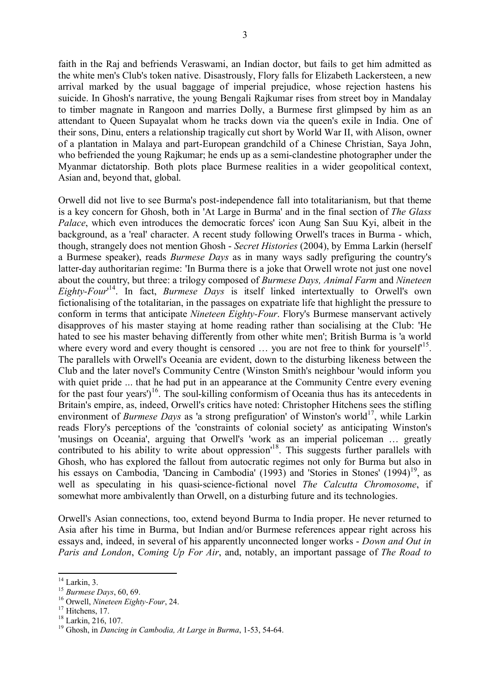faith in the Raj and befriends Veraswami, an Indian doctor, but fails to get him admitted as the white men's Club's token native. Disastrously, Flory falls for Elizabeth Lackersteen, a new arrival marked by the usual baggage of imperial prejudice, whose rejection hastens his suicide. In Ghosh's narrative, the young Bengali Rajkumar rises from street boy in Mandalay to timber magnate in Rangoon and marries Dolly, a Burmese first glimpsed by him as an attendant to Queen Supayalat whom he tracks down via the queen's exile in India. One of their sons, Dinu, enters a relationship tragically cut short by World War II, with Alison, owner of a plantation in Malaya and part-European grandchild of a Chinese Christian, Saya John, who befriended the young Rajkumar; he ends up as a semi-clandestine photographer under the Myanmar dictatorship. Both plots place Burmese realities in a wider geopolitical context, Asian and, beyond that, global.

Orwell did not live to see Burma's post-independence fall into totalitarianism, but that theme is a key concern for Ghosh, both in 'At Large in Burma' and in the final section of *The Glass Palace*, which even introduces the democratic forces' icon Aung San Suu Kyi, albeit in the background, as a 'real' character. A recent study following Orwell's traces in Burma - which, though, strangely does not mention Ghosh - *Secret Histories* (2004), by Emma Larkin (herself a Burmese speaker), reads *Burmese Days* as in many ways sadly prefiguring the country's latter-day authoritarian regime: 'In Burma there is a joke that Orwell wrote not just one novel about the country, but three: a trilogy composed of *Burmese Days, Animal Farm* and *Nineteen Eighty-Four*' 14 . In fact, *Burmese Days* is itself linked intertextually to Orwell's own fictionalising of the totalitarian, in the passages on expatriate life that highlight the pressure to conform in terms that anticipate *Nineteen Eighty-Four*. Flory's Burmese manservant actively disapproves of his master staying at home reading rather than socialising at the Club: 'He hated to see his master behaving differently from other white men'; British Burma is 'a world where every word and every thought is censored  $\dots$  you are not free to think for yourself<sup>15</sup>. The parallels with Orwell's Oceania are evident, down to the disturbing likeness between the Club and the later novel's Community Centre (Winston Smith's neighbour 'would inform you with quiet pride ... that he had put in an appearance at the Community Centre every evening for the past four years')<sup>16</sup>. The soul-killing conformism of Oceania thus has its antecedents in Britain's empire, as, indeed, Orwell's critics have noted: Christopher Hitchens sees the stifling environment of *Burmese Days* as 'a strong prefiguration' of Winston's world<sup>17</sup>, while Larkin reads Flory's perceptions of the 'constraints of colonial society' as anticipating Winston's 'musings on Oceania', arguing that Orwell's 'work as an imperial policeman … greatly contributed to his ability to write about oppression<sup>18</sup>. This suggests further parallels with Ghosh, who has explored the fallout from autocratic regimes not only for Burma but also in his essays on Cambodia, 'Dancing in Cambodia' (1993) and 'Stories in Stones' (1994)<sup>19</sup>, as well as speculating in his quasi-science-fictional novel *The Calcutta Chromosome*, if somewhat more ambivalently than Orwell, on a disturbing future and its technologies.

Orwell's Asian connections, too, extend beyond Burma to India proper. He never returned to Asia after his time in Burma, but Indian and/or Burmese references appear right across his essays and, indeed, in several of his apparently unconnected longer works - *Down and Out in Paris and London*, *Coming Up For Air*, and, notably, an important passage of *The Road to* 

 $14$  Larkin, 3.

<sup>15</sup> *Burmese Days*, 60, 69.

<sup>16</sup> Orwell, *Nineteen Eighty-Four*, 24.

<sup>&</sup>lt;sup>17</sup> Hitchens, 17.

<sup>18</sup> Larkin, 216, 107.

<sup>19</sup> Ghosh, in *Dancing in Cambodia, At Large in Burma*, 1-53, 54-64.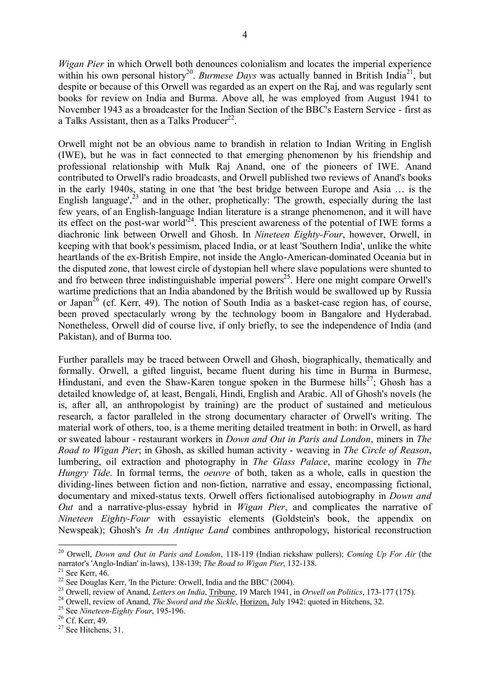*Wigan Pier* in which Orwell both denounces colonialism and locates the imperial experience within his own personal history<sup>20</sup>. *Burmese Days* was actually banned in British India<sup>21</sup>, but despite or because of this Orwell was regarded as an expert on the Raj, and was regularly sent books for review on India and Burma. Above all, he was employed from August 1941 to November 1943 as a broadcaster for the Indian Section of the BBC's Eastern Service - first as a Talks Assistant, then as a Talks Producer<sup>22</sup>.

Orwell might not be an obvious name to brandish in relation to Indian Writing in English (IWE), but he was in fact connected to that emerging phenomenon by his friendship and professional relationship with Mulk Raj Anand, one of the pioneers of IWE. Anand contributed to Orwell's radio broadcasts, and Orwell published two reviews of Anand's books in the early 1940s, stating in one that 'the best bridge between Europe and Asia … is the English language', $^{23}$  and in the other, prophetically: The growth, especially during the last few years, of an English-language Indian literature is a strange phenomenon, and it will have its effect on the post-war world<sup> $24$ </sup>. This prescient awareness of the potential of IWE forms a diachronic link between Orwell and Ghosh. In *Nineteen Eighty-Four*, however, Orwell, in keeping with that book's pessimism, placed India, or at least 'Southern India', unlike the white heartlands of the ex-British Empire, not inside the Anglo-American-dominated Oceania but in the disputed zone, that lowest circle of dystopian hell where slave populations were shunted to and fro between three indistinguishable imperial powers<sup>25</sup>. Here one might compare Orwell's wartime predictions that an India abandoned by the British would be swallowed up by Russia or Japan<sup>26</sup> (cf. Kerr, 49). The notion of South India as a basket-case region has, of course, been proved spectacularly wrong by the technology boom in Bangalore and Hyderabad. Nonetheless, Orwell did of course live, if only briefly, to see the independence of India (and Pakistan), and of Burma too.

Further parallels may be traced between Orwell and Ghosh, biographically, thematically and formally. Orwell, a gifted linguist, became fluent during his time in Burma in Burmese, Hindustani, and even the Shaw-Karen tongue spoken in the Burmese hills<sup>27</sup>; Ghosh has a detailed knowledge of, at least, Bengali, Hindi, English and Arabic. All of Ghosh's novels (he is, after all, an anthropologist by training) are the product of sustained and meticulous research, a factor paralleled in the strong documentary character of Orwell's writing. The material work of others, too, is a theme meriting detailed treatment in both: in Orwell, as hard or sweated labour - restaurant workers in *Down and Out in Paris and London*, miners in *The Road to Wigan Pier*; in Ghosh, as skilled human activity - weaving in *The Circle of Reason*, lumbering, oil extraction and photography in *The Glass Palace*, marine ecology in *The Hungry Tide*. In formal terms, the *oeuvre* of both, taken as a whole, calls in question the dividing-lines between fiction and non-fiction, narrative and essay, encompassing fictional, documentary and mixed-status texts. Orwell offers fictionalised autobiography in *Down and Out* and a narrative-plus-essay hybrid in *Wigan Pier*, and complicates the narrative of *Nineteen Eighty-Four* with essayistic elements (Goldstein's book, the appendix on Newspeak); Ghosh's *In An Antique Land* combines anthropology, historical reconstruction

<sup>&</sup>lt;u>.</u> <sup>20</sup> Orwell, *Down and Out in Paris and London*, 118-119 (Indian rickshaw pullers); *Coming Up For Air* (the narrator's 'Anglo-Indian' in-laws), 138-139; *The Road to Wigan Pier*, 132-138.

 $21$  See Kerr, 46.

<sup>&</sup>lt;sup>22</sup> See Douglas Kerr, 'In the Picture: Orwell, India and the BBC' (2004).

<sup>&</sup>lt;sup>23</sup> Orwell, review of Anand, *Letters on India*, Tribune, 19 March 1941, in *Orwell on Politics*, 173-177 (175).

<sup>&</sup>lt;sup>24</sup> Orwell, review of Anand, *The Sword and the Sickle*, *Horizon*, July 1942: quoted in Hitchens, 32.

<sup>25</sup> See *Nineteen-Eighty Four*, 195-196.

<sup>26</sup> Cf. Kerr, 49.

<sup>&</sup>lt;sup>27</sup> See Hitchens, 31.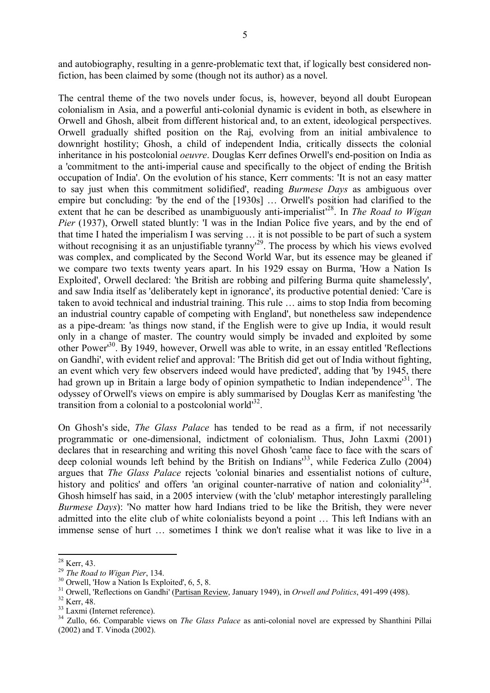and autobiography, resulting in a genre-problematic text that, if logically best considered nonfiction, has been claimed by some (though not its author) as a novel.

The central theme of the two novels under focus, is, however, beyond all doubt European colonialism in Asia, and a powerful anti-colonial dynamic is evident in both, as elsewhere in Orwell and Ghosh, albeit from different historical and, to an extent, ideological perspectives. Orwell gradually shifted position on the Raj, evolving from an initial ambivalence to downright hostility; Ghosh, a child of independent India, critically dissects the colonial inheritance in his postcolonial *oeuvre*. Douglas Kerr defines Orwell's end-position on India as a 'commitment to the anti-imperial cause and specifically to the object of ending the British occupation of India'. On the evolution of his stance, Kerr comments: 'It is not an easy matter to say just when this commitment solidified', reading *Burmese Days* as ambiguous over empire but concluding: 'by the end of the [1930s] … Orwell's position had clarified to the extent that he can be described as unambiguously anti-imperialist<sup>128</sup>. In *The Road to Wigan Pier* (1937), Orwell stated bluntly: 'I was in the Indian Police five years, and by the end of that time I hated the imperialism I was serving … it is not possible to be part of such a system without recognising it as an unjustifiable tyranny<sup>29</sup>. The process by which his views evolved was complex, and complicated by the Second World War, but its essence may be gleaned if we compare two texts twenty years apart. In his 1929 essay on Burma, 'How a Nation Is Exploited', Orwell declared: 'the British are robbing and pilfering Burma quite shamelessly', and saw India itself as 'deliberately kept in ignorance', its productive potential denied: 'Care is taken to avoid technical and industrial training. This rule … aims to stop India from becoming an industrial country capable of competing with England', but nonetheless saw independence as a pipe-dream: 'as things now stand, if the English were to give up India, it would result only in a change of master. The country would simply be invaded and exploited by some other Power'<sup>30</sup>. By 1949, however, Orwell was able to write, in an essay entitled 'Reflections on Gandhi', with evident relief and approval: 'The British did get out of India without fighting, an event which very few observers indeed would have predicted', adding that 'by 1945, there had grown up in Britain a large body of opinion sympathetic to Indian independence<sup>31</sup>. The odyssey of Orwell's views on empire is ably summarised by Douglas Kerr as manifesting 'the transition from a colonial to a postcolonial world $^{32}$ .

On Ghosh's side, *The Glass Palace* has tended to be read as a firm, if not necessarily programmatic or one-dimensional, indictment of colonialism. Thus, John Laxmi (2001) declares that in researching and writing this novel Ghosh 'came face to face with the scars of deep colonial wounds left behind by the British on Indians<sup>133</sup>, while Federica Zullo (2004) argues that *The Glass Palace* rejects 'colonial binaries and essentialist notions of culture, history and politics' and offers 'an original counter-narrative of nation and coloniality<sup>34</sup>. Ghosh himself has said, in a 2005 interview (with the 'club' metaphor interestingly paralleling *Burmese Days*): 'No matter how hard Indians tried to be like the British, they were never admitted into the elite club of white colonialists beyond a point … This left Indians with an immense sense of hurt … sometimes I think we don't realise what it was like to live in a

<sup>&</sup>lt;u>.</u>  $^{28}$  Kerr, 43.

<sup>29</sup> *The Road to Wigan Pier*, 134.

<sup>&</sup>lt;sup>30</sup> Orwell, 'How a Nation Is Exploited', 6, 5, 8.

<sup>&</sup>lt;sup>31</sup> Orwell, 'Reflections on Gandhi' (Partisan Review, January 1949), in *Orwell and Politics*, 491-499 (498).

<sup>&</sup>lt;sup>32</sup> Kerr, 48.

<sup>33</sup> Laxmi (Internet reference).

<sup>34</sup> Zullo, 66. Comparable views on *The Glass Palace* as anti-colonial novel are expressed by Shanthini Pillai (2002) and T. Vinoda (2002).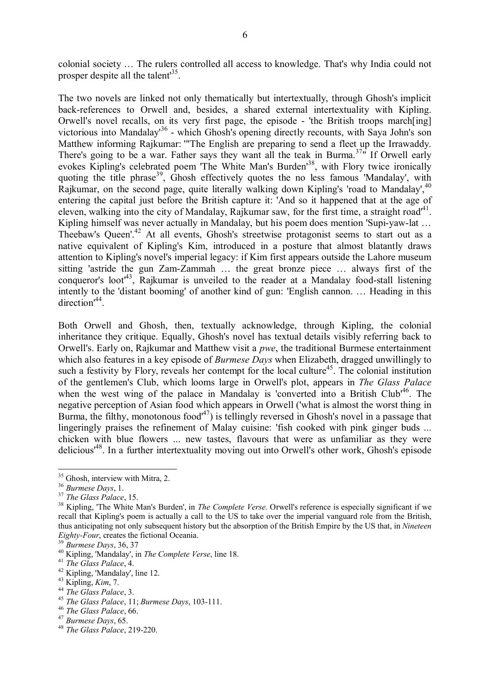colonial society … The rulers controlled all access to knowledge. That's why India could not prosper despite all the talent<sup>35</sup>.

The two novels are linked not only thematically but intertextually, through Ghosh's implicit back-references to Orwell and, besides, a shared external intertextuality with Kipling. Orwell's novel recalls, on its very first page, the episode - 'the British troops march[ing] victorious into Mandalay<sup>136</sup> - which Ghosh's opening directly recounts, with Saya John's son Matthew informing Rajkumar: '"The English are preparing to send a fleet up the Irrawaddy. There's going to be a war. Father says they want all the teak in Burma.<sup> $37\pi$ </sup> If Orwell early evokes Kipling's celebrated poem 'The White Man's Burden<sup>38</sup>, with Flory twice ironically quoting the title phrase<sup>39</sup>, Ghosh effectively quotes the no less famous 'Mandalay', with Rajkumar, on the second page, quite literally walking down Kipling's 'road to Mandalay',  $40$ entering the capital just before the British capture it: 'And so it happened that at the age of eleven, walking into the city of Mandalay, Rajkumar saw, for the first time, a straight road<sup>41</sup>. Kipling himself was never actually in Mandalay, but his poem does mention 'Supi-yaw-lat ... Theebaw's Queen'.<sup>42</sup> At all events, Ghosh's streetwise protagonist seems to start out as a native equivalent of Kipling's Kim, introduced in a posture that almost blatantly draws attention to Kipling's novel's imperial legacy: if Kim first appears outside the Lahore museum sitting 'astride the gun Zam-Zammah … the great bronze piece … always first of the conqueror's loot<sup>43</sup>, Rajkumar is unveiled to the reader at a Mandalay food-stall listening intently to the 'distant booming' of another kind of gun: 'English cannon. … Heading in this direction<sup>44</sup>.

Both Orwell and Ghosh, then, textually acknowledge, through Kipling, the colonial inheritance they critique. Equally, Ghosh's novel has textual details visibly referring back to Orwell's. Early on, Rajkumar and Matthew visit a *pwe*, the traditional Burmese entertainment which also features in a key episode of *Burmese Days* when Elizabeth, dragged unwillingly to such a festivity by Flory, reveals her contempt for the local culture<sup>45</sup>. The colonial institution of the gentlemen's Club, which looms large in Orwell's plot, appears in *The Glass Palace* when the west wing of the palace in Mandalay is 'converted into a British Club<sup>146</sup>. The negative perception of Asian food which appears in Orwell ('what is almost the worst thing in Burma, the filthy, monotonous food<sup> $47$ </sup>) is tellingly reversed in Ghosh's novel in a passage that lingeringly praises the refinement of Malay cuisine: 'fish cooked with pink ginger buds ... chicken with blue flowers ... new tastes, flavours that were as unfamiliar as they were delicious'<sup>48</sup>. In a further intertextuality moving out into Orwell's other work, Ghosh's episode

<sup>&</sup>lt;sup>35</sup> Ghosh, interview with Mitra, 2.

<sup>36</sup> *Burmese Days*, 1.

<sup>37</sup> *The Glass Palace*, 15.

<sup>38</sup> Kipling, 'The White Man's Burden', in *The Complete Verse*. Orwell's reference is especially significant if we recall that Kipling's poem is actually a call to the US to take over the imperial vanguard role from the British, thus anticipating not only subsequent history but the absorption of the British Empire by the US that, in *Nineteen Eighty-Four*, creates the fictional Oceania.

<sup>39</sup> *Burmese Days*, 36, 37

<sup>40</sup> Kipling, 'Mandalay', in *The Complete Verse*, line 18.

<sup>41</sup> *The Glass Palace*, 4.

<sup>42</sup> Kipling, 'Mandalay', line 12.

<sup>43</sup> Kipling, *Kim*, 7.

<sup>44</sup> *The Glass Palace*, 3.

<sup>45</sup> *The Glass Palace*, 11; *Burmese Days*, 103-111.

<sup>46</sup> *The Glass Palace*, 66.

<sup>47</sup> *Burmese Days*, 65.

<sup>48</sup> *The Glass Palace*, 219-220.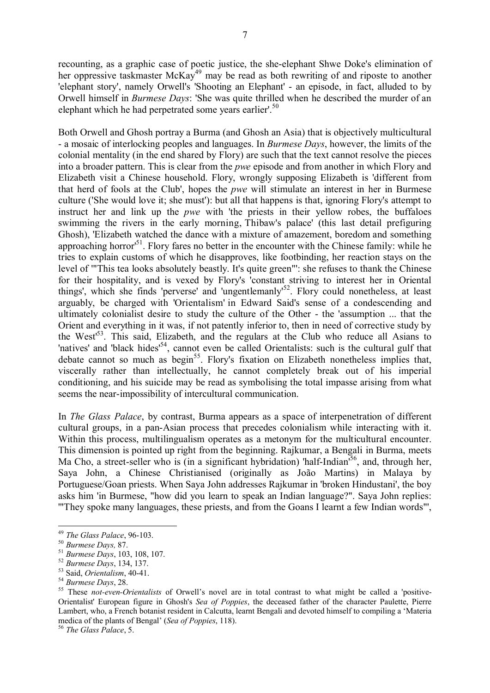recounting, as a graphic case of poetic justice, the she-elephant Shwe Doke's elimination of her oppressive taskmaster McKay<sup>49</sup> may be read as both rewriting of and riposte to another 'elephant story', namely Orwell's 'Shooting an Elephant' - an episode, in fact, alluded to by Orwell himself in *Burmese Days*: 'She was quite thrilled when he described the murder of an elephant which he had perpetrated some years earlier'.<sup>50</sup>

Both Orwell and Ghosh portray a Burma (and Ghosh an Asia) that is objectively multicultural - a mosaic of interlocking peoples and languages. In *Burmese Days*, however, the limits of the colonial mentality (in the end shared by Flory) are such that the text cannot resolve the pieces into a broader pattern. This is clear from the *pwe* episode and from another in which Flory and Elizabeth visit a Chinese household. Flory, wrongly supposing Elizabeth is 'different from that herd of fools at the Club', hopes the *pwe* will stimulate an interest in her in Burmese culture ('She would love it; she must'): but all that happens is that, ignoring Flory's attempt to instruct her and link up the *pwe* with 'the priests in their yellow robes, the buffaloes swimming the rivers in the early morning, Thibaw's palace' (this last detail prefiguring Ghosh), 'Elizabeth watched the dance with a mixture of amazement, boredom and something approaching horror<sup>51</sup>. Flory fares no better in the encounter with the Chinese family: while he tries to explain customs of which he disapproves, like footbinding, her reaction stays on the level of '"This tea looks absolutely beastly. It's quite green"': she refuses to thank the Chinese for their hospitality, and is vexed by Flory's 'constant striving to interest her in Oriental things', which she finds 'perverse' and 'ungentlemanly'<sup>52</sup>. Flory could nonetheless, at least arguably, be charged with 'Orientalism' in Edward Said's sense of a condescending and ultimately colonialist desire to study the culture of the Other - the 'assumption ... that the Orient and everything in it was, if not patently inferior to, then in need of corrective study by the West<sup>153</sup>. This said, Elizabeth, and the regulars at the Club who reduce all Asians to 'natives' and 'black hides'<sup>54</sup>, cannot even be called Orientalists: such is the cultural gulf that debate cannot so much as begin<sup>55</sup>. Flory's fixation on Elizabeth nonetheless implies that, viscerally rather than intellectually, he cannot completely break out of his imperial conditioning, and his suicide may be read as symbolising the total impasse arising from what seems the near-impossibility of intercultural communication.

In *The Glass Palace*, by contrast, Burma appears as a space of interpenetration of different cultural groups, in a pan-Asian process that precedes colonialism while interacting with it. Within this process, multilingualism operates as a metonym for the multicultural encounter. This dimension is pointed up right from the beginning. Rajkumar, a Bengali in Burma, meets Ma Cho, a street-seller who is (in a significant hybridation) 'half-Indian<sup>56</sup>, and, through her, Saya John, a Chinese Christianised (originally as João Martins) in Malaya by Portuguese/Goan priests. When Saya John addresses Rajkumar in 'broken Hindustani', the boy asks him 'in Burmese, "how did you learn to speak an Indian language?". Saya John replies: '"They spoke many languages, these priests, and from the Goans I learnt a few Indian words"',

<sup>56</sup> *The Glass Palace*, 5.

<sup>1</sup> <sup>49</sup> *The Glass Palace*, 96-103.

<sup>50</sup> *Burmese Days,* 87.

<sup>51</sup> *Burmese Days*, 103, 108, 107.

<sup>52</sup> *Burmese Days*, 134, 137.

<sup>53</sup> Said, *Orientalism*, 40-41.

<sup>54</sup> *Burmese Days*, 28.

<sup>55</sup> These *not-even-Orientalists* of Orwell's novel are in total contrast to what might be called a 'positive-Orientalist' European figure in Ghosh's *Sea of Poppies*, the deceased father of the character Paulette, Pierre Lambert, who, a French botanist resident in Calcutta, learnt Bengali and devoted himself to compiling a 'Materia medica of the plants of Bengal' (*Sea of Poppies*, 118).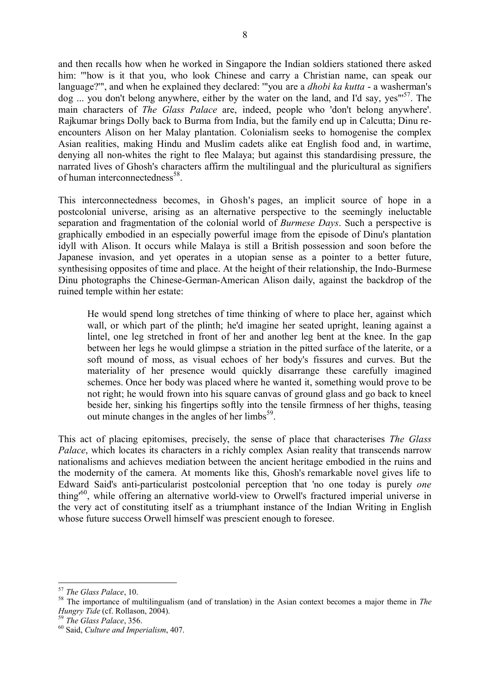and then recalls how when he worked in Singapore the Indian soldiers stationed there asked him: "how is it that you, who look Chinese and carry a Christian name, can speak our language?'", and when he explained they declared: '"you are a *dhobi ka kutta* - a washerman's dog ... you don't belong anywhere, either by the water on the land, and I'd say, yes"<sup>57</sup>. The main characters of *The Glass Palace* are, indeed, people who 'don't belong anywhere'. Rajkumar brings Dolly back to Burma from India, but the family end up in Calcutta; Dinu reencounters Alison on her Malay plantation. Colonialism seeks to homogenise the complex Asian realities, making Hindu and Muslim cadets alike eat English food and, in wartime, denying all non-whites the right to flee Malaya; but against this standardising pressure, the narrated lives of Ghosh's characters affirm the multilingual and the pluricultural as signifiers of human interconnectedness<sup>58</sup>.

This interconnectedness becomes, in Ghosh's pages, an implicit source of hope in a postcolonial universe, arising as an alternative perspective to the seemingly ineluctable separation and fragmentation of the colonial world of *Burmese Days*. Such a perspective is graphically embodied in an especially powerful image from the episode of Dinu's plantation idyll with Alison. It occurs while Malaya is still a British possession and soon before the Japanese invasion, and yet operates in a utopian sense as a pointer to a better future, synthesising opposites of time and place. At the height of their relationship, the Indo-Burmese Dinu photographs the Chinese-German-American Alison daily, against the backdrop of the ruined temple within her estate:

He would spend long stretches of time thinking of where to place her, against which wall, or which part of the plinth; he'd imagine her seated upright, leaning against a lintel, one leg stretched in front of her and another leg bent at the knee. In the gap between her legs he would glimpse a striation in the pitted surface of the laterite, or a soft mound of moss, as visual echoes of her body's fissures and curves. But the materiality of her presence would quickly disarrange these carefully imagined schemes. Once her body was placed where he wanted it, something would prove to be not right; he would frown into his square canvas of ground glass and go back to kneel beside her, sinking his fingertips softly into the tensile firmness of her thighs, teasing out minute changes in the angles of her limbs<sup>59</sup>.

This act of placing epitomises, precisely, the sense of place that characterises *The Glass Palace*, which locates its characters in a richly complex Asian reality that transcends narrow nationalisms and achieves mediation between the ancient heritage embodied in the ruins and the modernity of the camera. At moments like this, Ghosh's remarkable novel gives life to Edward Said's anti-particularist postcolonial perception that 'no one today is purely *one* thing'<sup>60</sup> , while offering an alternative world-view to Orwell's fractured imperial universe in the very act of constituting itself as a triumphant instance of the Indian Writing in English whose future success Orwell himself was prescient enough to foresee.

<sup>57</sup> *The Glass Palace*, 10.

<sup>58</sup> The importance of multilingualism (and of translation) in the Asian context becomes a major theme in *The Hungry Tide* (cf. Rollason, 2004).

<sup>59</sup> *The Glass Palace*, 356.

<sup>60</sup> Said, *Culture and Imperialism*, 407.